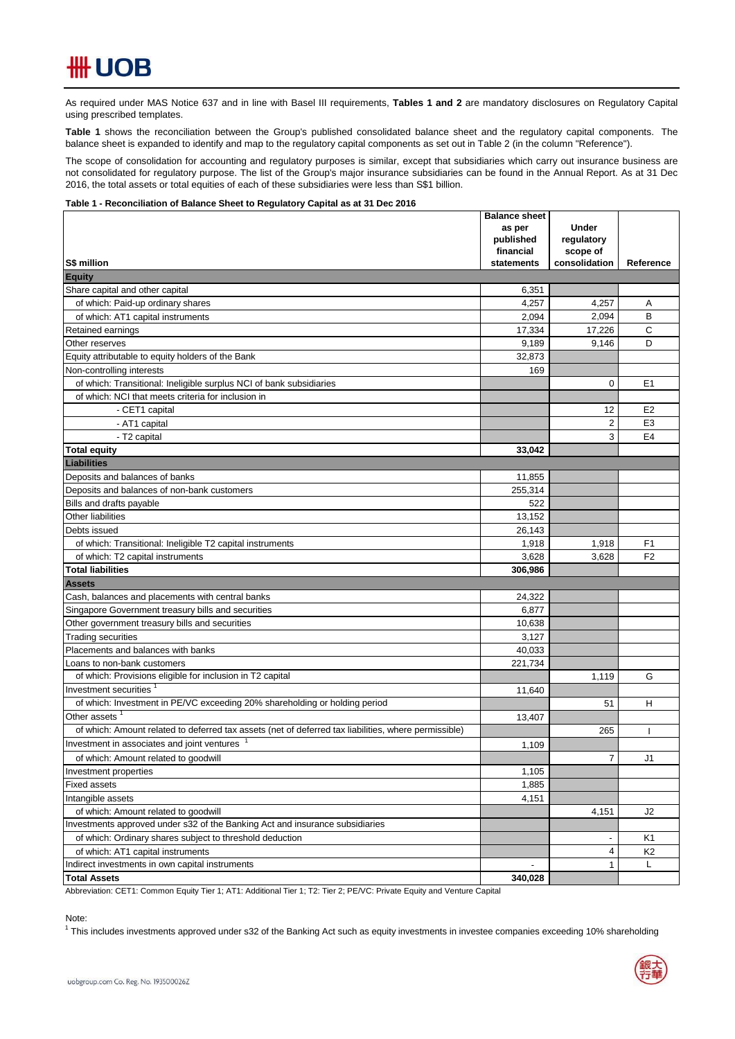# **\HH UOB**

As required under MAS Notice 637 and in line with Basel III requirements, Tables 1 and 2 are mandatory disclosures on Regulatory Capital using prescribed templates.

**Table 1** shows the reconciliation between the Group's published consolidated balance sheet and the regulatory capital components. The balance sheet is expanded to identify and map to the regulatory capital components as set out in Table 2 (in the column "Reference").

The scope of consolidation for accounting and regulatory purposes is similar, except that subsidiaries which carry out insurance business are not consolidated for regulatory purpose. The list of the Group's major insurance subsidiaries can be found in the Annual Report. As at 31 Dec 2016, the total assets or total equities of each of these subsidiaries were less than S\$1 billion.

#### **Table 1 - Reconciliation of Balance Sheet to Regulatory Capital as at 31 Dec 2016**

|                                                                                                      | <b>Balance sheet</b><br>as per | <b>Under</b>              |                |
|------------------------------------------------------------------------------------------------------|--------------------------------|---------------------------|----------------|
|                                                                                                      | published                      | regulatory                |                |
| S\$ million                                                                                          | financial<br>statements        | scope of<br>consolidation | Reference      |
| <b>Equity</b>                                                                                        |                                |                           |                |
| Share capital and other capital                                                                      | 6,351                          |                           |                |
| of which: Paid-up ordinary shares                                                                    | 4,257                          | 4,257                     | Α              |
| of which: AT1 capital instruments                                                                    | 2,094                          | 2,094                     | B              |
| Retained earnings                                                                                    | 17,334                         | 17,226                    | C              |
| Other reserves                                                                                       | 9,189                          | 9,146                     | D              |
| Equity attributable to equity holders of the Bank                                                    | 32,873                         |                           |                |
| Non-controlling interests                                                                            | 169                            |                           |                |
| of which: Transitional: Ineligible surplus NCI of bank subsidiaries                                  |                                | 0                         | E <sub>1</sub> |
| of which: NCI that meets criteria for inclusion in                                                   |                                |                           |                |
| - CET1 capital                                                                                       |                                | 12                        | E <sub>2</sub> |
| - AT1 capital                                                                                        |                                | 2                         | E <sub>3</sub> |
| - T2 capital                                                                                         |                                | 3                         | E <sub>4</sub> |
| <b>Total equity</b>                                                                                  | 33,042                         |                           |                |
| <b>Liabilities</b>                                                                                   |                                |                           |                |
| Deposits and balances of banks                                                                       | 11,855                         |                           |                |
| Deposits and balances of non-bank customers                                                          | 255,314                        |                           |                |
| Bills and drafts payable                                                                             | 522                            |                           |                |
| Other liabilities                                                                                    | 13,152                         |                           |                |
| Debts issued                                                                                         | 26,143                         |                           |                |
| of which: Transitional: Ineligible T2 capital instruments                                            | 1,918                          | 1,918                     | F <sub>1</sub> |
| of which: T2 capital instruments                                                                     | 3,628                          | 3,628                     | F <sub>2</sub> |
| <b>Total liabilities</b>                                                                             | 306,986                        |                           |                |
| <b>Assets</b>                                                                                        |                                |                           |                |
| Cash, balances and placements with central banks                                                     | 24,322                         |                           |                |
| Singapore Government treasury bills and securities                                                   | 6,877                          |                           |                |
| Other government treasury bills and securities                                                       | 10,638                         |                           |                |
| <b>Trading securities</b>                                                                            | 3,127                          |                           |                |
| Placements and balances with banks                                                                   | 40,033                         |                           |                |
| Loans to non-bank customers                                                                          | 221,734                        |                           |                |
| of which: Provisions eligible for inclusion in T2 capital                                            |                                | 1,119                     | G              |
| Investment securities <sup>1</sup>                                                                   | 11,640                         |                           |                |
| of which: Investment in PE/VC exceeding 20% shareholding or holding period                           |                                | 51                        | H              |
| Other assets                                                                                         | 13,407                         |                           |                |
| of which: Amount related to deferred tax assets (net of deferred tax liabilities, where permissible) |                                | 265                       |                |
| Investment in associates and joint ventures                                                          | 1,109                          |                           |                |
| of which: Amount related to goodwill                                                                 |                                | $\overline{7}$            | J1             |
| Investment properties                                                                                | 1,105                          |                           |                |
| <b>Fixed assets</b>                                                                                  | 1,885                          |                           |                |
| Intangible assets                                                                                    | 4,151                          |                           |                |
| of which: Amount related to goodwill                                                                 |                                | 4,151                     | J2             |
| Investments approved under s32 of the Banking Act and insurance subsidiaries                         |                                |                           |                |
| of which: Ordinary shares subject to threshold deduction                                             |                                |                           | Κ1             |
| of which: AT1 capital instruments                                                                    |                                | 4                         | K <sub>2</sub> |
| Indirect investments in own capital instruments                                                      |                                | $\mathbf 1$               | L              |
| <b>Total Assets</b>                                                                                  | 340,028                        |                           |                |

Abbreviation: CET1: Common Equity Tier 1; AT1: Additional Tier 1; T2: Tier 2; PE/VC: Private Equity and Venture Capital

### Note:

<sup>1</sup> This includes investments approved under s32 of the Banking Act such as equity investments in investee companies exceeding 10% shareholding

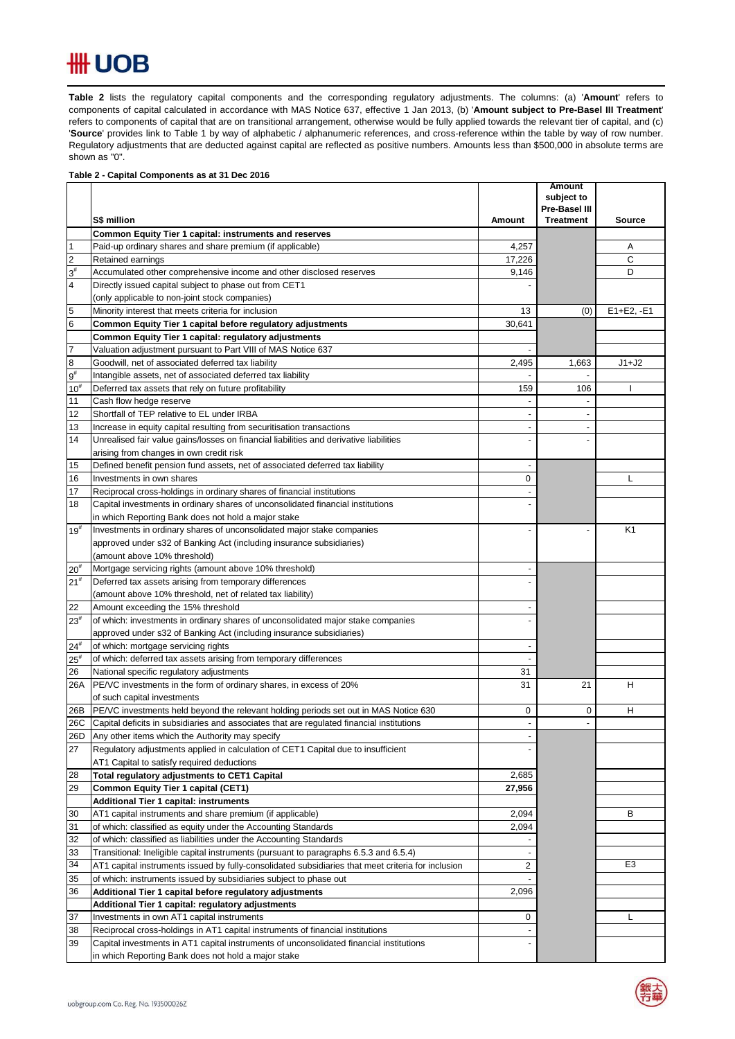## **#H UOB**

**Table 2** lists the regulatory capital components and the corresponding regulatory adjustments. The columns: (a) '**Amount**' refers to components of capital calculated in accordance with MAS Notice 637, effective 1 Jan 2013, (b) '**Amount subject to Pre-Basel III Treatment**' refers to components of capital that are on transitional arrangement, otherwise would be fully applied towards the relevant tier of capital, and (c) 'Source' provides link to Table 1 by way of alphabetic / alphanumeric references, and cross-reference within the table by way of row number. Regulatory adjustments that are deducted against capital are reflected as positive numbers. Amounts less than \$500,000 in absolute terms are shown as "0".  $\mathsf{Table 2}$  lists the requlatory capital components and the corresponding requlatory adjustments. The collection

### **Table 2 - Capital Components as at 31 Dec 2016**

|                                    |                                                                                                                  |                          | <b>Amount</b><br>subject to |                |
|------------------------------------|------------------------------------------------------------------------------------------------------------------|--------------------------|-----------------------------|----------------|
|                                    |                                                                                                                  |                          | Pre-Basel III               |                |
|                                    | S\$ million                                                                                                      | Amount                   | <b>Treatment</b>            | <b>Source</b>  |
|                                    | Common Equity Tier 1 capital: instruments and reserves                                                           |                          |                             |                |
| $\overline{1}$                     | Paid-up ordinary shares and share premium (if applicable)                                                        | 4,257                    |                             | Α              |
| $\overline{2}$                     | Retained earnings                                                                                                | 17,226                   |                             | C              |
| $3^{\sharp}$                       | Accumulated other comprehensive income and other disclosed reserves                                              | 9,146                    |                             | D              |
| $\overline{4}$                     | Directly issued capital subject to phase out from CET1                                                           |                          |                             |                |
|                                    | (only applicable to non-joint stock companies)                                                                   |                          |                             |                |
| 5                                  | Minority interest that meets criteria for inclusion                                                              | 13                       | (0)                         | $E1 + E2, -E1$ |
| $6\phantom{1}6$                    | Common Equity Tier 1 capital before regulatory adjustments                                                       | 30,641                   |                             |                |
|                                    | Common Equity Tier 1 capital: regulatory adjustments                                                             |                          |                             |                |
| $\overline{7}$                     | Valuation adjustment pursuant to Part VIII of MAS Notice 637                                                     | $\overline{a}$           |                             |                |
| $^{\circ}$                         | Goodwill, net of associated deferred tax liability                                                               | 2,495                    | 1,663                       | J1+J2          |
| $9^{\sharp}$                       | Intangible assets, net of associated deferred tax liability                                                      |                          | $\overline{a}$              |                |
| $10^{#}$                           | Deferred tax assets that rely on future profitability                                                            | 159                      | 106                         |                |
| 11                                 | Cash flow hedge reserve                                                                                          |                          |                             |                |
| 12                                 | Shortfall of TEP relative to EL under IRBA                                                                       |                          |                             |                |
| 13                                 | Increase in equity capital resulting from securitisation transactions                                            | $\overline{\phantom{a}}$ | $\overline{\phantom{a}}$    |                |
| 14                                 | Unrealised fair value gains/losses on financial liabilities and derivative liabilities                           |                          |                             |                |
|                                    | arising from changes in own credit risk                                                                          |                          |                             |                |
| 15                                 | Defined benefit pension fund assets, net of associated deferred tax liability                                    | $\overline{\phantom{a}}$ |                             |                |
| 16                                 | Investments in own shares                                                                                        | 0                        |                             | L              |
| 17                                 | Reciprocal cross-holdings in ordinary shares of financial institutions                                           |                          |                             |                |
| 18                                 | Capital investments in ordinary shares of unconsolidated financial institutions                                  |                          |                             |                |
|                                    | in which Reporting Bank does not hold a major stake                                                              |                          |                             | K <sub>1</sub> |
| $19^{#}$                           | Investments in ordinary shares of unconsolidated major stake companies                                           |                          |                             |                |
|                                    | approved under s32 of Banking Act (including insurance subsidiaries)                                             |                          |                             |                |
|                                    | (amount above 10% threshold)                                                                                     |                          |                             |                |
| 20 <sup>#</sup><br>21 <sup>#</sup> | Mortgage servicing rights (amount above 10% threshold)<br>Deferred tax assets arising from temporary differences |                          |                             |                |
|                                    |                                                                                                                  |                          |                             |                |
| 22                                 | (amount above 10% threshold, net of related tax liability)<br>Amount exceeding the 15% threshold                 |                          |                             |                |
| $23^{#}$                           | of which: investments in ordinary shares of unconsolidated major stake companies                                 |                          |                             |                |
|                                    | approved under s32 of Banking Act (including insurance subsidiaries)                                             |                          |                             |                |
| $24^{\rm #}$                       | of which: mortgage servicing rights                                                                              |                          |                             |                |
| $25^{\rm{*}}$                      | of which: deferred tax assets arising from temporary differences                                                 |                          |                             |                |
| 26                                 | National specific regulatory adjustments                                                                         | 31                       |                             |                |
| 26A                                | PE/VC investments in the form of ordinary shares, in excess of 20%                                               | 31                       | 21                          | Н              |
|                                    | of such capital investments                                                                                      |                          |                             |                |
| 26B                                | PE/VC investments held beyond the relevant holding periods set out in MAS Notice 630                             | 0                        | 0                           | н              |
| 26C                                | Capital deficits in subsidiaries and associates that are regulated financial institutions                        |                          | $\overline{a}$              |                |
| $\overline{26}$ D                  | Any other items which the Authority may specify                                                                  |                          |                             |                |
| 27                                 | Regulatory adjustments applied in calculation of CET1 Capital due to insufficient                                |                          |                             |                |
|                                    | AT1 Capital to satisfy required deductions                                                                       |                          |                             |                |
| 28                                 | Total regulatory adjustments to CET1 Capital                                                                     | 2,685                    |                             |                |
| 29                                 | Common Equity Tier 1 capital (CET1)                                                                              | 27,956                   |                             |                |
|                                    | Additional Tier 1 capital: instruments                                                                           |                          |                             |                |
| 30                                 | AT1 capital instruments and share premium (if applicable)                                                        | 2,094                    |                             | В              |
| 31                                 | of which: classified as equity under the Accounting Standards                                                    | 2,094                    |                             |                |
| 32                                 | of which: classified as liabilities under the Accounting Standards                                               |                          |                             |                |
| 33                                 | Transitional: Ineligible capital instruments (pursuant to paragraphs 6.5.3 and 6.5.4)                            | $\blacksquare$           |                             |                |
| 34                                 | AT1 capital instruments issued by fully-consolidated subsidiaries that meet criteria for inclusion               | 2                        |                             | E <sub>3</sub> |
| 35                                 | of which: instruments issued by subsidiaries subject to phase out                                                |                          |                             |                |
| 36                                 | Additional Tier 1 capital before regulatory adjustments                                                          | 2,096                    |                             |                |
|                                    | Additional Tier 1 capital: regulatory adjustments                                                                |                          |                             |                |
| 37                                 | Investments in own AT1 capital instruments                                                                       | 0                        |                             | L              |
| 38                                 | Reciprocal cross-holdings in AT1 capital instruments of financial institutions                                   |                          |                             |                |
| 39                                 | Capital investments in AT1 capital instruments of unconsolidated financial institutions                          |                          |                             |                |
|                                    | in which Reporting Bank does not hold a major stake                                                              |                          |                             |                |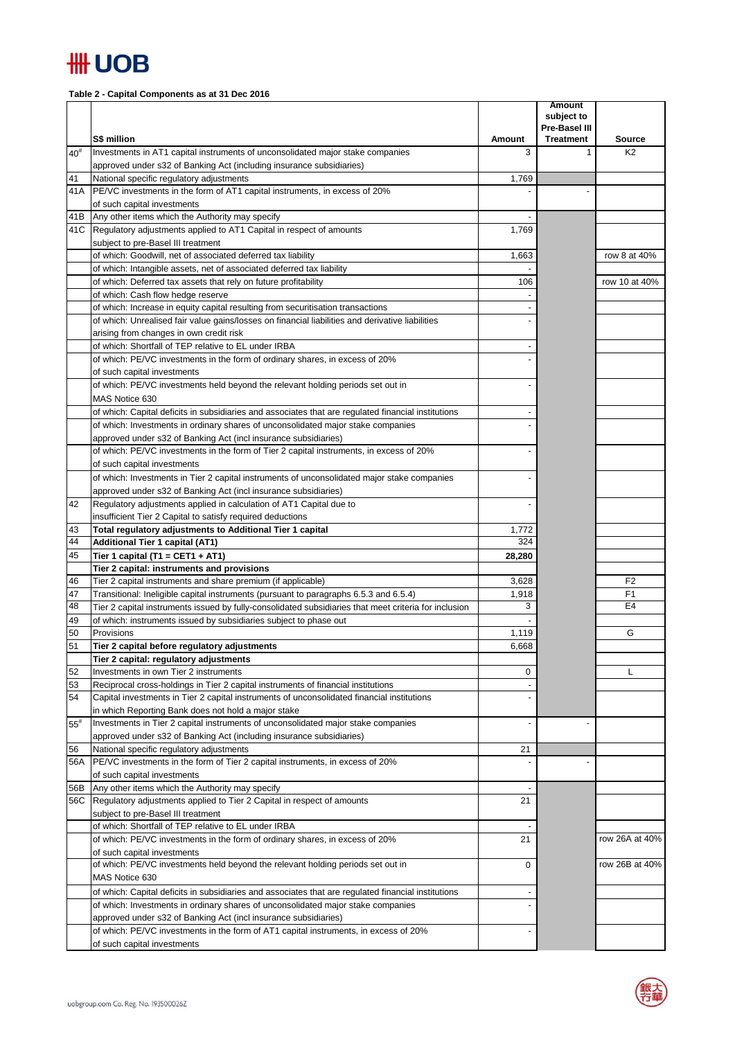

**Table 2 - Capital Components as at 31 Dec 2016**

|              |                                                                                                                                                     |        | <b>Amount</b><br>subject to |                |
|--------------|-----------------------------------------------------------------------------------------------------------------------------------------------------|--------|-----------------------------|----------------|
|              |                                                                                                                                                     |        | Pre-Basel III               |                |
|              | S\$ million                                                                                                                                         | Amount | <b>Treatment</b>            | <b>Source</b>  |
| $40^{#}$     | Investments in AT1 capital instruments of unconsolidated major stake companies                                                                      | 3      | 1                           | K <sub>2</sub> |
|              | approved under s32 of Banking Act (including insurance subsidiaries)                                                                                |        |                             |                |
| 41           | National specific regulatory adjustments                                                                                                            | 1,769  |                             |                |
| 41A          | PE/VC investments in the form of AT1 capital instruments, in excess of 20%                                                                          |        |                             |                |
| 41B          | of such capital investments<br>Any other items which the Authority may specify                                                                      |        |                             |                |
| 41C          | Regulatory adjustments applied to AT1 Capital in respect of amounts                                                                                 | 1,769  |                             |                |
|              | subject to pre-Basel III treatment                                                                                                                  |        |                             |                |
|              | of which: Goodwill, net of associated deferred tax liability                                                                                        | 1,663  |                             | row 8 at 40%   |
|              | of which: Intangible assets, net of associated deferred tax liability                                                                               |        |                             |                |
|              | of which: Deferred tax assets that rely on future profitability                                                                                     | 106    |                             | row 10 at 40%  |
|              | of which: Cash flow hedge reserve                                                                                                                   |        |                             |                |
|              | of which: Increase in equity capital resulting from securitisation transactions                                                                     |        |                             |                |
|              | of which: Unrealised fair value gains/losses on financial liabilities and derivative liabilities                                                    |        |                             |                |
|              | arising from changes in own credit risk                                                                                                             |        |                             |                |
|              | of which: Shortfall of TEP relative to EL under IRBA                                                                                                |        |                             |                |
|              | of which: PE/VC investments in the form of ordinary shares, in excess of 20%                                                                        |        |                             |                |
|              | of such capital investments                                                                                                                         |        |                             |                |
|              | of which: PE/VC investments held beyond the relevant holding periods set out in                                                                     |        |                             |                |
|              | MAS Notice 630                                                                                                                                      |        |                             |                |
|              | of which: Capital deficits in subsidiaries and associates that are regulated financial institutions                                                 |        |                             |                |
|              | of which: Investments in ordinary shares of unconsolidated major stake companies<br>approved under s32 of Banking Act (incl insurance subsidiaries) |        |                             |                |
|              | of which: PE/VC investments in the form of Tier 2 capital instruments, in excess of 20%                                                             |        |                             |                |
|              | of such capital investments                                                                                                                         |        |                             |                |
|              | of which: Investments in Tier 2 capital instruments of unconsolidated major stake companies                                                         |        |                             |                |
|              | approved under s32 of Banking Act (incl insurance subsidiaries)                                                                                     |        |                             |                |
| 42           | Regulatory adjustments applied in calculation of AT1 Capital due to                                                                                 |        |                             |                |
|              | insufficient Tier 2 Capital to satisfy required deductions                                                                                          |        |                             |                |
| 43           | Total regulatory adjustments to Additional Tier 1 capital                                                                                           | 1,772  |                             |                |
| 44           | <b>Additional Tier 1 capital (AT1)</b>                                                                                                              | 324    |                             |                |
| 45           | Tier 1 capital (T1 = CET1 + AT1)                                                                                                                    | 28,280 |                             |                |
|              | Tier 2 capital: instruments and provisions                                                                                                          |        |                             |                |
| 46           | Tier 2 capital instruments and share premium (if applicable)                                                                                        | 3,628  |                             | F <sub>2</sub> |
| 47           | Transitional: Ineligible capital instruments (pursuant to paragraphs 6.5.3 and 6.5.4)                                                               | 1,918  |                             | F <sub>1</sub> |
| 48           | Tier 2 capital instruments issued by fully-consolidated subsidiaries that meet criteria for inclusion                                               | 3      |                             | E4             |
| 49<br>50     | of which: instruments issued by subsidiaries subject to phase out<br>Provisions                                                                     | 1,119  |                             | G              |
| 51           | Tier 2 capital before regulatory adjustments                                                                                                        | 6,668  |                             |                |
|              | Tier 2 capital: regulatory adjustments                                                                                                              |        |                             |                |
| 52           | Investments in own Tier 2 instruments                                                                                                               | 0      |                             | L              |
| 53           | Reciprocal cross-holdings in Tier 2 capital instruments of financial institutions                                                                   |        |                             |                |
| 54           | Capital investments in Tier 2 capital instruments of unconsolidated financial institutions                                                          |        |                             |                |
|              | in which Reporting Bank does not hold a major stake                                                                                                 |        |                             |                |
| $55^{\rm #}$ | Investments in Tier 2 capital instruments of unconsolidated major stake companies                                                                   |        |                             |                |
|              | approved under s32 of Banking Act (including insurance subsidiaries)                                                                                |        |                             |                |
| 56           | National specific regulatory adjustments                                                                                                            | 21     |                             |                |
| 56A          | PE/VC investments in the form of Tier 2 capital instruments, in excess of 20%                                                                       |        |                             |                |
|              | of such capital investments                                                                                                                         |        |                             |                |
| 56B<br>56C   | Any other items which the Authority may specify<br>Regulatory adjustments applied to Tier 2 Capital in respect of amounts                           | 21     |                             |                |
|              | subject to pre-Basel III treatment                                                                                                                  |        |                             |                |
|              | of which: Shortfall of TEP relative to EL under IRBA                                                                                                |        |                             |                |
|              | of which: PE/VC investments in the form of ordinary shares, in excess of 20%                                                                        | 21     |                             | row 26A at 40% |
|              | of such capital investments                                                                                                                         |        |                             |                |
|              | of which: PE/VC investments held beyond the relevant holding periods set out in                                                                     | 0      |                             | row 26B at 40% |
|              | MAS Notice 630                                                                                                                                      |        |                             |                |
|              | of which: Capital deficits in subsidiaries and associates that are regulated financial institutions                                                 |        |                             |                |
|              | of which: Investments in ordinary shares of unconsolidated major stake companies                                                                    |        |                             |                |
|              | approved under s32 of Banking Act (incl insurance subsidiaries)                                                                                     |        |                             |                |
|              | of which: PE/VC investments in the form of AT1 capital instruments, in excess of 20%                                                                |        |                             |                |
|              | of such capital investments                                                                                                                         |        |                             |                |